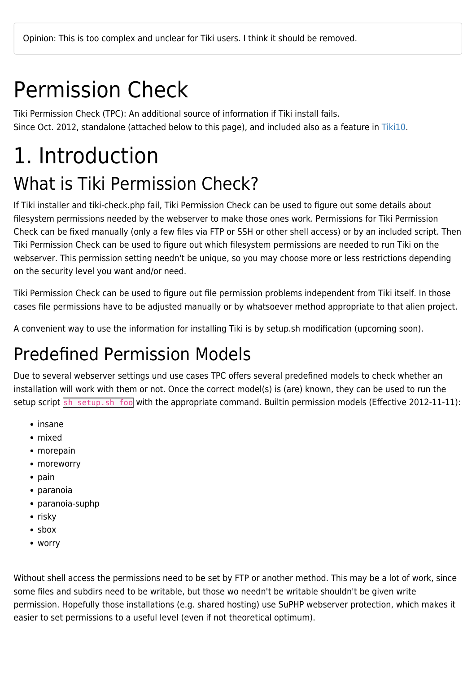# Permission Check

Tiki Permission Check (TPC): An additional source of information if Tiki install fails. Since Oct. 2012, standalone (attached below to this page), and included also as a feature in [Tiki10](https://doc.tiki.org/Tiki10).

# 1. Introduction What is Tiki Permission Check?

If Tiki installer and tiki-check.php fail, Tiki Permission Check can be used to figure out some details about filesystem permissions needed by the webserver to make those ones work. Permissions for Tiki Permission Check can be fixed manually (only a few files via FTP or SSH or other shell access) or by an included script. Then Tiki Permission Check can be used to figure out which filesystem permissions are needed to run Tiki on the webserver. This permission setting needn't be unique, so you may choose more or less restrictions depending on the security level you want and/or need.

Tiki Permission Check can be used to figure out file permission problems independent from Tiki itself. In those cases file permissions have to be adjusted manually or by whatsoever method appropriate to that alien project.

A convenient way to use the information for installing Tiki is by setup.sh modification (upcoming soon).

### Predefined Permission Models

Due to several webserver settings und use cases TPC offers several predefined models to check whether an installation will work with them or not. Once the correct model(s) is (are) known, they can be used to run the setup script sh setup.sh foo with the appropriate command. Builtin permission models (Effective 2012-11-11):

- insane
- mixed
- morepain
- moreworry
- $\bullet$  pain
- paranoia
- paranoia-suphp
- $\cdot$  risky
- sbox
- worry

Without shell access the permissions need to be set by FTP or another method. This may be a lot of work, since some files and subdirs need to be writable, but those wo needn't be writable shouldn't be given write permission. Hopefully those installations (e.g. shared hosting) use SuPHP webserver protection, which makes it easier to set permissions to a useful level (even if not theoretical optimum).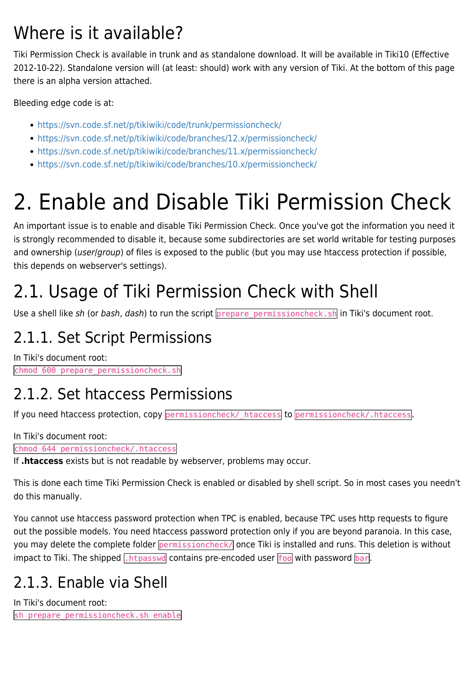### Where is it available?

Tiki Permission Check is available in trunk and as standalone download. It will be available in Tiki10 (Effective 2012-10-22). Standalone version will (at least: should) work with any version of Tiki. At the bottom of this page there is an alpha version attached.

Bleeding edge code is at:

- <https://svn.code.sf.net/p/tikiwiki/code/trunk/permissioncheck/>
- <https://svn.code.sf.net/p/tikiwiki/code/branches/12.x/permissioncheck/>
- <https://svn.code.sf.net/p/tikiwiki/code/branches/11.x/permissioncheck/>
- <https://svn.code.sf.net/p/tikiwiki/code/branches/10.x/permissioncheck/>

# 2. Enable and Disable Tiki Permission Check

An important issue is to enable and disable Tiki Permission Check. Once you've got the information you need it is strongly recommended to disable it, because some subdirectories are set world writable for testing purposes and ownership (user/group) of files is exposed to the public (but you may use htaccess protection if possible, this depends on webserver's settings).

# 2.1. Usage of Tiki Permission Check with Shell

Use a shell like sh (or bash, dash) to run the script prepare permissioncheck.sh in Tiki's document root.

### 2.1.1. Set Script Permissions

In Tiki's document root: chmod 600 prepare\_permissioncheck.sh

#### 2.1.2. Set htaccess Permissions

If you need htaccess protection, copy permissioncheck/\_htaccess to permissioncheck/.htaccess.

In Tiki's document root:

chmod 644 permissioncheck/.htaccess

If **.htaccess** exists but is not readable by webserver, problems may occur.

This is done each time Tiki Permission Check is enabled or disabled by shell script. So in most cases you needn't do this manually.

You cannot use htaccess password protection when TPC is enabled, because TPC uses http requests to figure out the possible models. You need htaccess password protection only if you are beyond paranoia. In this case, you may delete the complete folder permissioncheck/ once Tiki is installed and runs. This deletion is without impact to Tiki. The shipped  $\sqrt{h_{\text{max}}}\$  contains pre-encoded user  $\sqrt{f_{\text{oo}}}$  with password  $\sqrt{h_{\text{or}}}$ .

### 2.1.3. Enable via Shell

In Tiki's document root: sh prepare permissioncheck.sh enable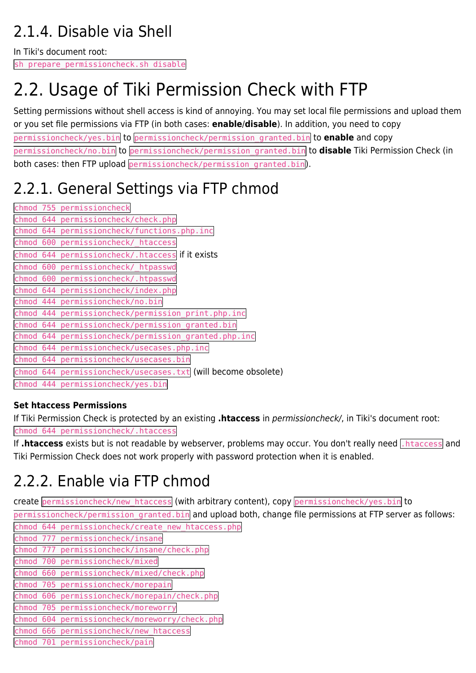### 2.1.4. Disable via Shell

In Tiki's document root:

sh prepare permissioncheck.sh disable

# 2.2. Usage of Tiki Permission Check with FTP

Setting permissions without shell access is kind of annoying. You may set local file permissions and upload them or you set file permissions via FTP (in both cases: **enable**/**disable**). In addition, you need to copy permissioncheck/yes.bin to permissioncheck/permission\_granted.bin to **enable** and copy permissioncheck/no.bin to permissioncheck/permission\_granted.bin to **disable** Tiki Permission Check (in both cases: then FTP upload permissioncheck/permission\_granted.bin).

### 2.2.1. General Settings via FTP chmod

|           |     | chmod 755 permissioncheck                                     |
|-----------|-----|---------------------------------------------------------------|
|           |     | chmod 644 permissioncheck/check.php                           |
|           |     | chmod 644 permissioncheck/functions.php.inc                   |
| chmod 600 |     | permissioncheck/ htaccess                                     |
| chmod     | 644 | permissioncheck/.htaccess if it exists                        |
| chmod     | 600 | permissioncheck/ htpasswd                                     |
| chmod     | 600 | permissioncheck/.htpasswd                                     |
|           |     | chmod 644 permissioncheck/index.php                           |
| chmod 444 |     | permissioncheck/no.bin                                        |
| chmod 444 |     | permissioncheck/permission print.php.inc                      |
|           |     | chmod 644 permissioncheck/permission granted.bin              |
| chmod 644 |     | permissioncheck/permission granted.php.inc                    |
| chmod     | 644 | permissioncheck/usecases.php.inc                              |
| chmod     | 644 | permissioncheck/usecases.bin                                  |
|           |     | chmod 644 permissioncheck/usecases.txt (will become obsolete) |
|           |     | chmod 444 permissioncheck/yes.bin                             |
|           |     |                                                               |

#### **Set htaccess Permissions**

If Tiki Permission Check is protected by an existing **.htaccess** in permissioncheck/, in Tiki's document root: chmod 644 permissioncheck/.htaccess

If .htaccess exists but is not readable by webserver, problems may occur. You don't really need .htaccess and Tiki Permission Check does not work properly with password protection when it is enabled.

#### 2.2.2. Enable via FTP chmod

create permissioncheck/new\_htaccess (with arbitrary content), copy permissioncheck/yes.bin to

permissioncheck/permission granted.bin and upload both, change file permissions at FTP server as follows: chmod 644 permissioncheck/create\_new\_htaccess.php

- chmod 777 permissioncheck/insane
- chmod 777 permissioncheck/insane/check.php
- chmod 700 permissioncheck/mixed
- chmod 660 permissioncheck/mixed/check.php
- chmod 705 permissioncheck/morepain
- chmod 606 permissioncheck/morepain/check.php
- chmod 705 permissioncheck/moreworry
- chmod 604 permissioncheck/moreworry/check.php
- chmod 666 permissioncheck/new\_htaccess
- chmod 701 permissioncheck/pain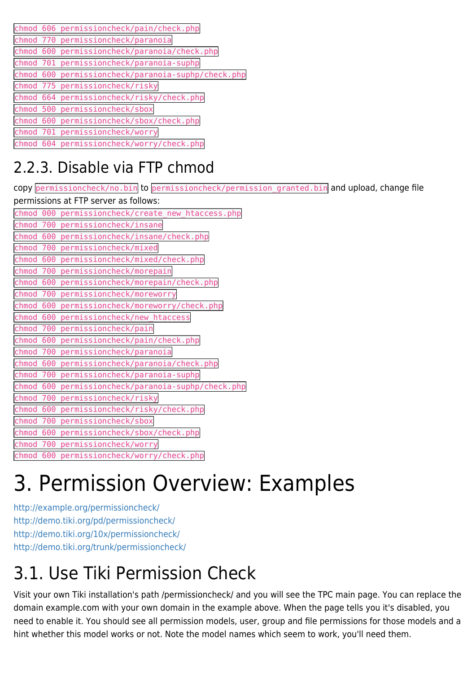|  | chmod 606 permissioncheck/pain/check.php           |
|--|----------------------------------------------------|
|  | chmod 770 permissioncheck/paranoia                 |
|  | chmod 600 permissioncheck/paranoia/check.php       |
|  | chmod 701 permissioncheck/paranoia-suphp           |
|  | chmod 600 permissioncheck/paranoia-suphp/check.php |
|  | chmod 775 permissioncheck/risky                    |
|  | chmod 664 permissioncheck/risky/check.php          |
|  | chmod 500 permissioncheck/sbox                     |
|  | chmod 600 permissioncheck/sbox/check.php           |
|  | chmod 701 permissioncheck/worry                    |
|  | chmod 604 permissioncheck/worry/check.php          |

### 2.2.3. Disable via FTP chmod

copy permissioncheck/no.bin to permissioncheck/permission\_granted.bin and upload, change file permissions at FTP server as follows: chmod 000 permissioncheck/create\_new\_htaccess.php chmod 700 permissioncheck/insane chmod 600 permissioncheck/insane/check.php chmod 700 permissioncheck/mixed chmod 600 permissioncheck/mixed/check.php chmod 700 permissioncheck/morepain chmod 600 permissioncheck/morepain/check.php chmod 700 permissioncheck/moreworry chmod 600 permissioncheck/moreworry/check.php chmod 600 permissioncheck/new\_htaccess chmod 700 permissioncheck/pain chmod 600 permissioncheck/pain/check.php chmod 700 permissioncheck/paranoia chmod 600 permissioncheck/paranoia/check.php chmod 700 permissioncheck/paranoia-suphp chmod 600 permissioncheck/paranoia-suphp/check.php chmod 700 permissioncheck/risky chmod 600 permissioncheck/risky/check.php chmod 700 permissioncheck/sbox chmod 600 permissioncheck/sbox/check.php chmod 700 permissioncheck/worry chmod 600 permissioncheck/worry/check.php

# 3. Permission Overview: Examples

<http://example.org/permissioncheck/> <http://demo.tiki.org/pd/permissioncheck/> <http://demo.tiki.org/10x/permissioncheck/> <http://demo.tiki.org/trunk/permissioncheck/>

# 3.1. Use Tiki Permission Check

Visit your own Tiki installation's path /permissioncheck/ and you will see the TPC main page. You can replace the domain example.com with your own domain in the example above. When the page tells you it's disabled, you need to enable it. You should see all permission models, user, group and file permissions for those models and a hint whether this model works or not. Note the model names which seem to work, you'll need them.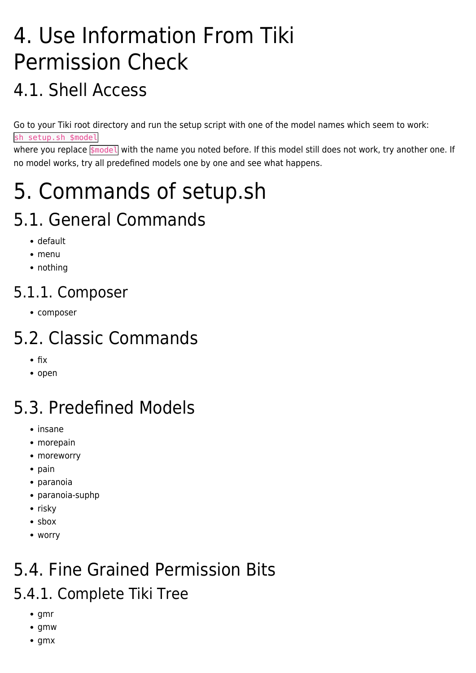# 4. Use Information From Tiki Permission Check

### 4.1. Shell Access

Go to your Tiki root directory and run the setup script with one of the model names which seem to work: sh setup.sh \$model

where you replace **\$model** with the name you noted before. If this model still does not work, try another one. If no model works, try all predefined models one by one and see what happens.

# 5. Commands of setup.sh

## 5.1. General Commands

- default
- menu
- nothing

#### 5.1.1. Composer

• composer

## 5.2. Classic Commands

- $\bullet$  fix
- open

# 5.3. Predefined Models

- insane
- morepain
- moreworry
- $\bullet$  pain
- paranoia
- paranoia-suphp
- $\cdot$  risky
- sbox
- worry

# 5.4. Fine Grained Permission Bits

#### 5.4.1. Complete Tiki Tree

- $\bullet$  gmr
- $q$ mw
- $\bullet$  gmx